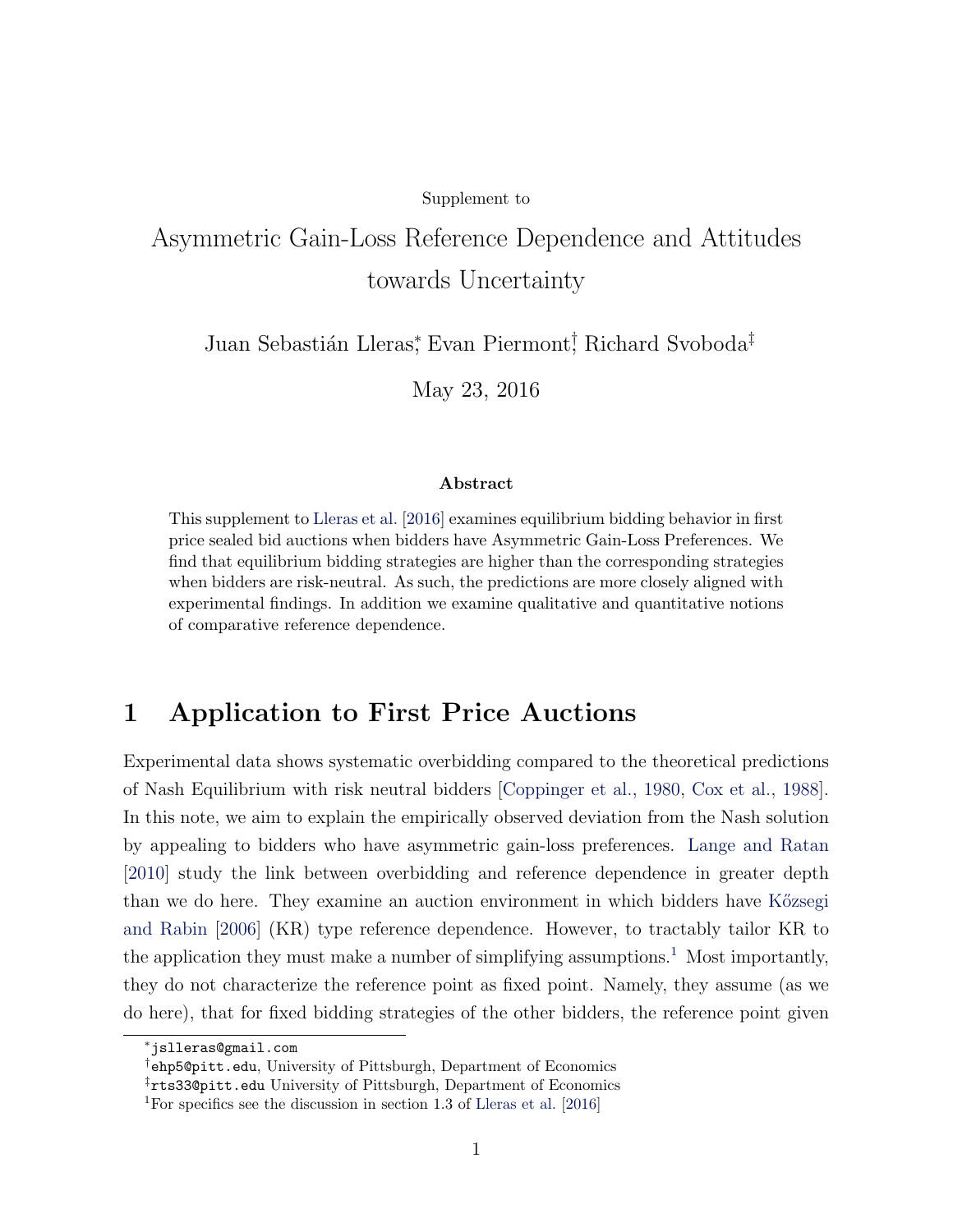#### Supplement to

# Asymmetric Gain-Loss Reference Dependence and Attitudes towards Uncertainty

Juan Sebastián Lleras<sup>\*</sup>, Evan Piermont<sup>†</sup>, Richard Svoboda<sup>‡</sup>

May 23, 2016

#### Abstract

This supplement to [Lleras et al.](#page-10-0) [\[2016\]](#page-10-0) examines equilibrium bidding behavior in first price sealed bid auctions when bidders have Asymmetric Gain-Loss Preferences. We find that equilibrium bidding strategies are higher than the corresponding strategies when bidders are risk-neutral. As such, the predictions are more closely aligned with experimental findings. In addition we examine qualitative and quantitative notions of comparative reference dependence.

## 1 Application to First Price Auctions

Experimental data shows systematic overbidding compared to the theoretical predictions of Nash Equilibrium with risk neutral bidders [\[Coppinger et al.,](#page-9-0) [1980,](#page-9-0) [Cox et al.,](#page-9-1) [1988\]](#page-9-1). In this note, we aim to explain the empirically observed deviation from the Nash solution by appealing to bidders who have asymmetric gain-loss preferences. [Lange and Ratan](#page-10-1) [\[2010\]](#page-10-1) study the link between overbidding and reference dependence in greater depth than we do here. They examine an auction environment in which bidders have Közsegi [and Rabin](#page-9-2) [\[2006\]](#page-9-2) (KR) type reference dependence. However, to tractably tailor KR to the application they must make a number of simplifying assumptions.<sup>[1](#page-0-0)</sup> Most importantly, they do not characterize the reference point as fixed point. Namely, they assume (as we do here), that for fixed bidding strategies of the other bidders, the reference point given

<sup>∗</sup>jslleras@gmail.com

<sup>†</sup>ehp5@pitt.edu, University of Pittsburgh, Department of Economics

<sup>‡</sup>rts33@pitt.edu University of Pittsburgh, Department of Economics

<span id="page-0-0"></span><sup>1</sup>For specifics see the discussion in section 1.3 of [Lleras et al.](#page-10-0) [\[2016\]](#page-10-0)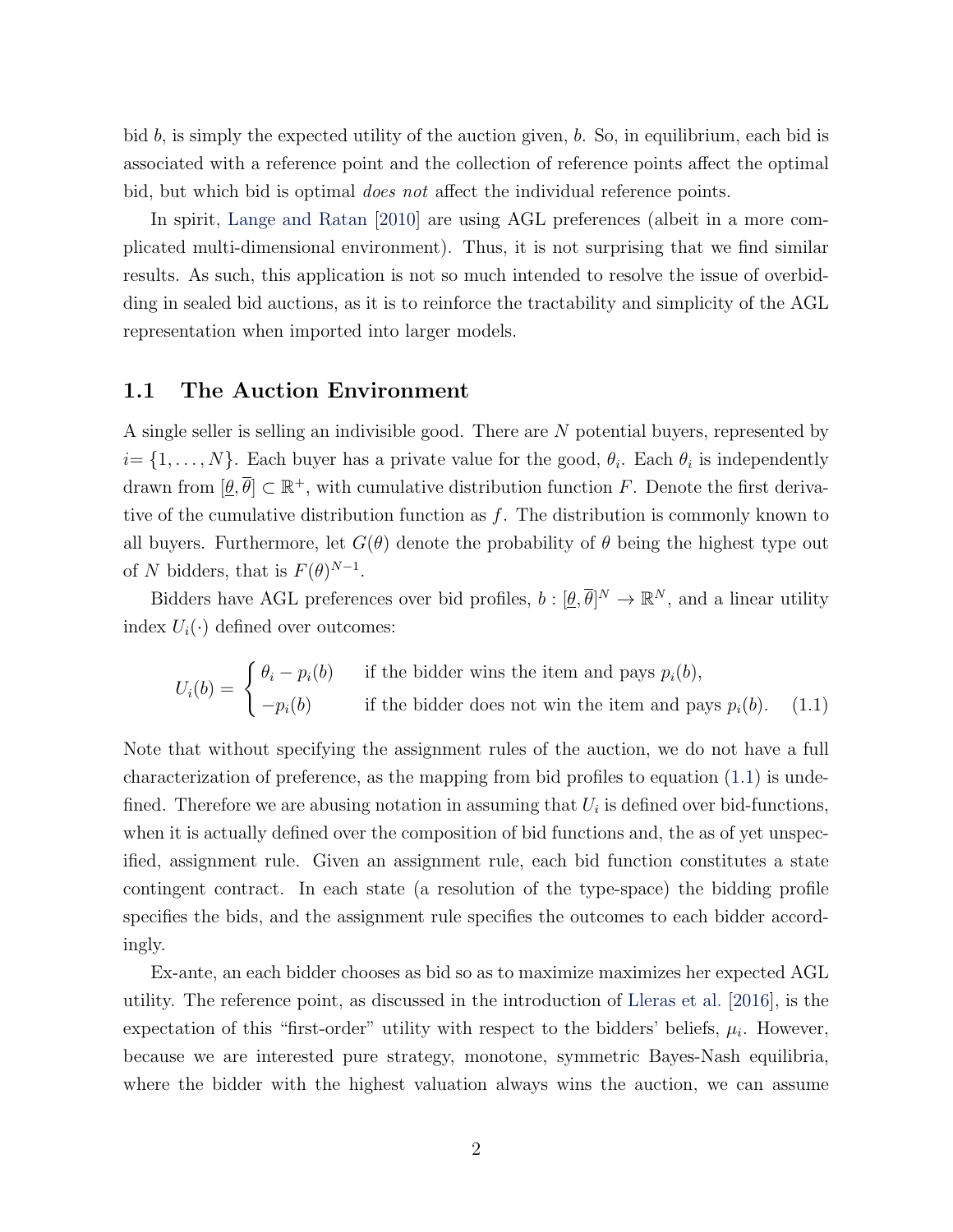bid b, is simply the expected utility of the auction given,  $b$ . So, in equilibrium, each bid is associated with a reference point and the collection of reference points affect the optimal bid, but which bid is optimal *does not* affect the individual reference points.

In spirit, [Lange and Ratan](#page-10-1) [\[2010\]](#page-10-1) are using AGL preferences (albeit in a more complicated multi-dimensional environment). Thus, it is not surprising that we find similar results. As such, this application is not so much intended to resolve the issue of overbidding in sealed bid auctions, as it is to reinforce the tractability and simplicity of the AGL representation when imported into larger models.

#### <span id="page-1-0"></span>1.1 The Auction Environment

A single seller is selling an indivisible good. There are N potential buyers, represented by  $i = \{1, \ldots, N\}$ . Each buyer has a private value for the good,  $\theta_i$ . Each  $\theta_i$  is independently drawn from  $[\underline{\theta}, \overline{\theta}] \subset \mathbb{R}^+$ , with cumulative distribution function F. Denote the first derivative of the cumulative distribution function as  $f$ . The distribution is commonly known to all buyers. Furthermore, let  $G(\theta)$  denote the probability of  $\theta$  being the highest type out of N bidders, that is  $F(\theta)^{N-1}$ .

Bidders have AGL preferences over bid profiles,  $b : [\underline{\theta}, \overline{\theta}]^N \to \mathbb{R}^N$ , and a linear utility index  $U_i(\cdot)$  defined over outcomes:

$$
U_i(b) = \begin{cases} \theta_i - p_i(b) & \text{if the bidder wins the item and pays } p_i(b), \\ -p_i(b) & \text{if the bidder does not win the item and pays } p_i(b). \end{cases}
$$
 (1.1)

Note that without specifying the assignment rules of the auction, we do not have a full characterization of preference, as the mapping from bid profiles to equation [\(1.1\)](#page-1-0) is undefined. Therefore we are abusing notation in assuming that  $U_i$  is defined over bid-functions, when it is actually defined over the composition of bid functions and, the as of yet unspecified, assignment rule. Given an assignment rule, each bid function constitutes a state contingent contract. In each state (a resolution of the type-space) the bidding profile specifies the bids, and the assignment rule specifies the outcomes to each bidder accordingly.

Ex-ante, an each bidder chooses as bid so as to maximize maximizes her expected AGL utility. The reference point, as discussed in the introduction of [Lleras et al.](#page-10-0) [\[2016\]](#page-10-0), is the expectation of this "first-order" utility with respect to the bidders' beliefs,  $\mu_i$ . However, because we are interested pure strategy, monotone, symmetric Bayes-Nash equilibria, where the bidder with the highest valuation always wins the auction, we can assume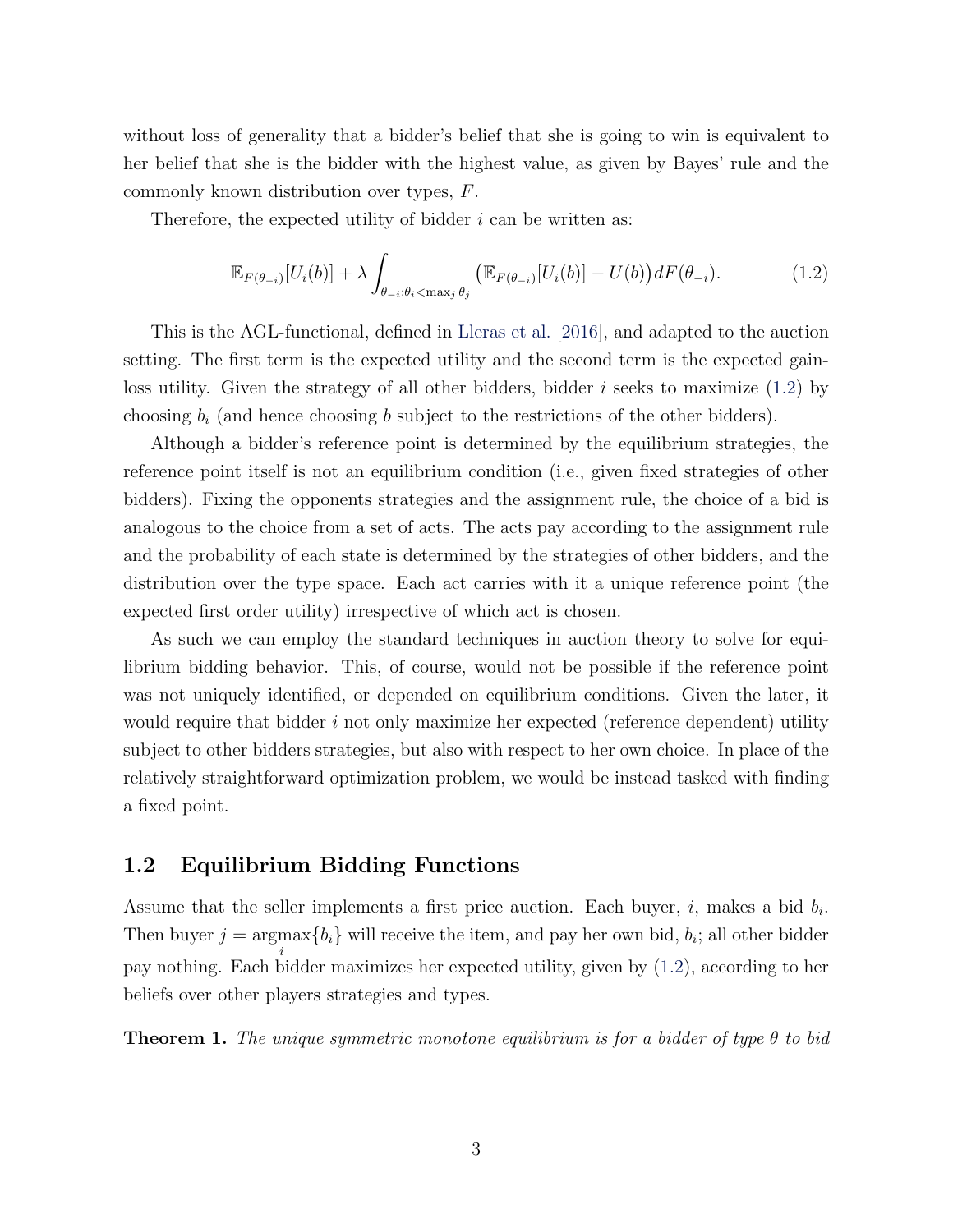without loss of generality that a bidder's belief that she is going to win is equivalent to her belief that she is the bidder with the highest value, as given by Bayes' rule and the commonly known distribution over types, F.

Therefore, the expected utility of bidder  $i$  can be written as:

<span id="page-2-0"></span>
$$
\mathbb{E}_{F(\theta_{-i})}[U_i(b)] + \lambda \int_{\theta_{-i}:\theta_i < \max_j \theta_j} \left( \mathbb{E}_{F(\theta_{-i})}[U_i(b)] - U(b) \right) dF(\theta_{-i}). \tag{1.2}
$$

This is the AGL-functional, defined in [Lleras et al.](#page-10-0) [\[2016\]](#page-10-0), and adapted to the auction setting. The first term is the expected utility and the second term is the expected gainloss utility. Given the strategy of all other bidders, bidder i seeks to maximize  $(1.2)$  by choosing  $b_i$  (and hence choosing b subject to the restrictions of the other bidders).

Although a bidder's reference point is determined by the equilibrium strategies, the reference point itself is not an equilibrium condition (i.e., given fixed strategies of other bidders). Fixing the opponents strategies and the assignment rule, the choice of a bid is analogous to the choice from a set of acts. The acts pay according to the assignment rule and the probability of each state is determined by the strategies of other bidders, and the distribution over the type space. Each act carries with it a unique reference point (the expected first order utility) irrespective of which act is chosen.

As such we can employ the standard techniques in auction theory to solve for equilibrium bidding behavior. This, of course, would not be possible if the reference point was not uniquely identified, or depended on equilibrium conditions. Given the later, it would require that bidder  $i$  not only maximize her expected (reference dependent) utility subject to other bidders strategies, but also with respect to her own choice. In place of the relatively straightforward optimization problem, we would be instead tasked with finding a fixed point.

#### 1.2 Equilibrium Bidding Functions

Assume that the seller implements a first price auction. Each buyer,  $i$ , makes a bid  $b_i$ . Then buyer  $j = \text{argmax} \{b_i\}$  will receive the item, and pay her own bid,  $b_i$ ; all other bidder i pay nothing. Each bidder maximizes her expected utility, given by [\(1.2\)](#page-2-0), according to her beliefs over other players strategies and types.

<span id="page-2-1"></span>**Theorem 1.** The unique symmetric monotone equilibrium is for a bidder of type  $\theta$  to bid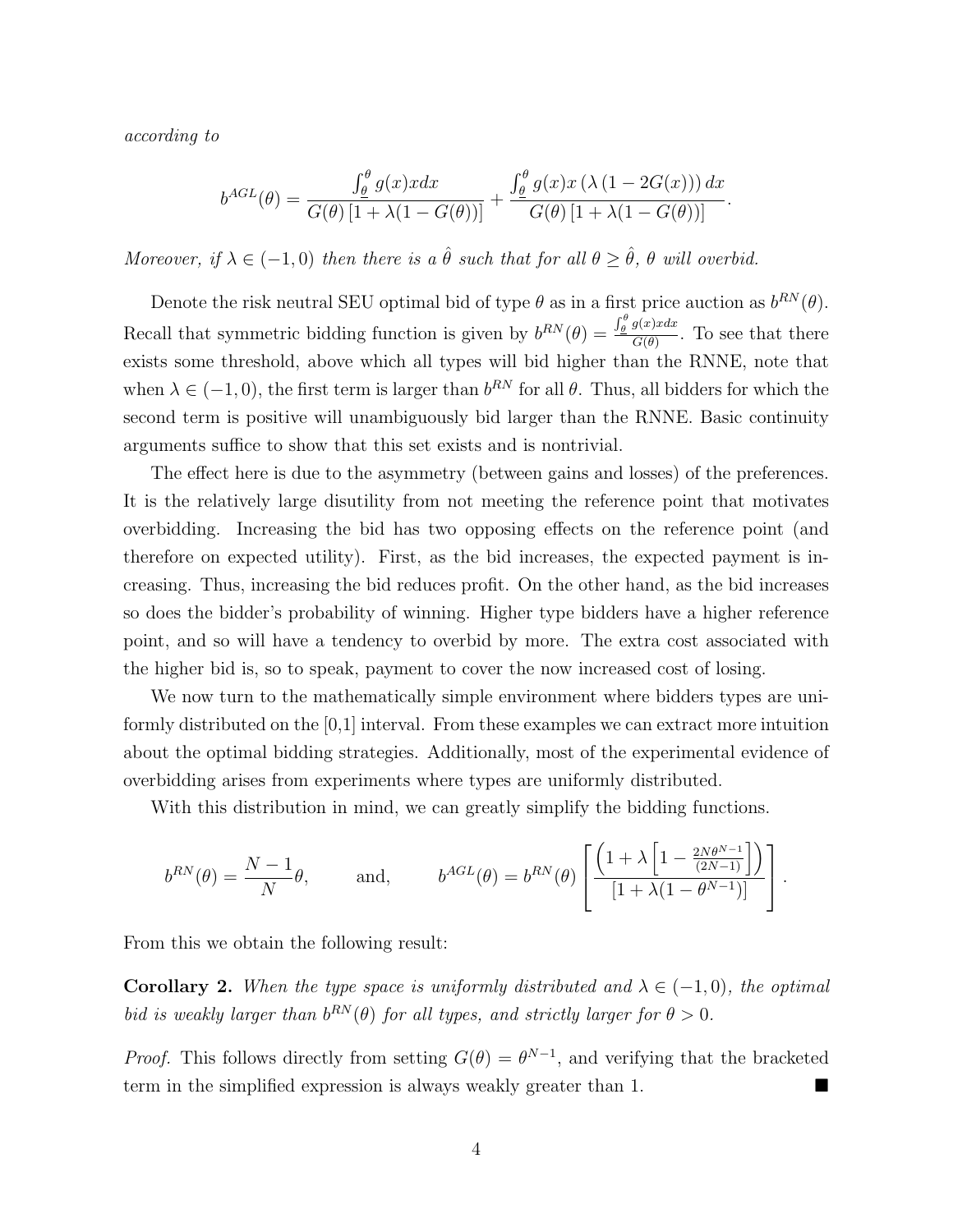according to

$$
b^{AGL}(\theta) = \frac{\int_{\theta}^{\theta} g(x)xdx}{G(\theta)\left[1+\lambda(1-G(\theta))\right]} + \frac{\int_{\theta}^{\theta} g(x)x\left(\lambda\left(1-2G(x)\right)\right)dx}{G(\theta)\left[1+\lambda(1-G(\theta))\right]}.
$$

Moreover, if  $\lambda \in (-1,0)$  then there is a  $\hat{\theta}$  such that for all  $\theta \geq \hat{\theta}$ ,  $\theta$  will overbid.

Denote the risk neutral SEU optimal bid of type  $\theta$  as in a first price auction as  $b^{RN}(\theta)$ . Recall that symmetric bidding function is given by  $b^{RN}(\theta) = \frac{\int_{\theta}^{\theta} g(x) x dx}{C(\theta)}$  $\frac{G(\theta)}{G(\theta)}$ . To see that there exists some threshold, above which all types will bid higher than the RNNE, note that when  $\lambda \in (-1,0)$ , the first term is larger than  $b^{RN}$  for all  $\theta$ . Thus, all bidders for which the second term is positive will unambiguously bid larger than the RNNE. Basic continuity arguments suffice to show that this set exists and is nontrivial.

The effect here is due to the asymmetry (between gains and losses) of the preferences. It is the relatively large disutility from not meeting the reference point that motivates overbidding. Increasing the bid has two opposing effects on the reference point (and therefore on expected utility). First, as the bid increases, the expected payment is increasing. Thus, increasing the bid reduces profit. On the other hand, as the bid increases so does the bidder's probability of winning. Higher type bidders have a higher reference point, and so will have a tendency to overbid by more. The extra cost associated with the higher bid is, so to speak, payment to cover the now increased cost of losing.

We now turn to the mathematically simple environment where bidders types are uniformly distributed on the [0,1] interval. From these examples we can extract more intuition about the optimal bidding strategies. Additionally, most of the experimental evidence of overbidding arises from experiments where types are uniformly distributed.

With this distribution in mind, we can greatly simplify the bidding functions.

$$
b^{RN}(\theta) = \frac{N-1}{N}\theta, \quad \text{and,} \quad b^{AGL}(\theta) = b^{RN}(\theta) \left[ \frac{\left(1 + \lambda \left[1 - \frac{2N\theta^{N-1}}{(2N-1)}\right]\right)}{\left[1 + \lambda(1 - \theta^{N-1})\right]}\right].
$$

From this we obtain the following result:

**Corollary 2.** When the type space is uniformly distributed and  $\lambda \in (-1,0)$ , the optimal bid is weakly larger than  $b^{RN}(\theta)$  for all types, and strictly larger for  $\theta > 0$ .

*Proof.* This follows directly from setting  $G(\theta) = \theta^{N-1}$ , and verifying that the bracketed term in the simplified expression is always weakly greater than 1.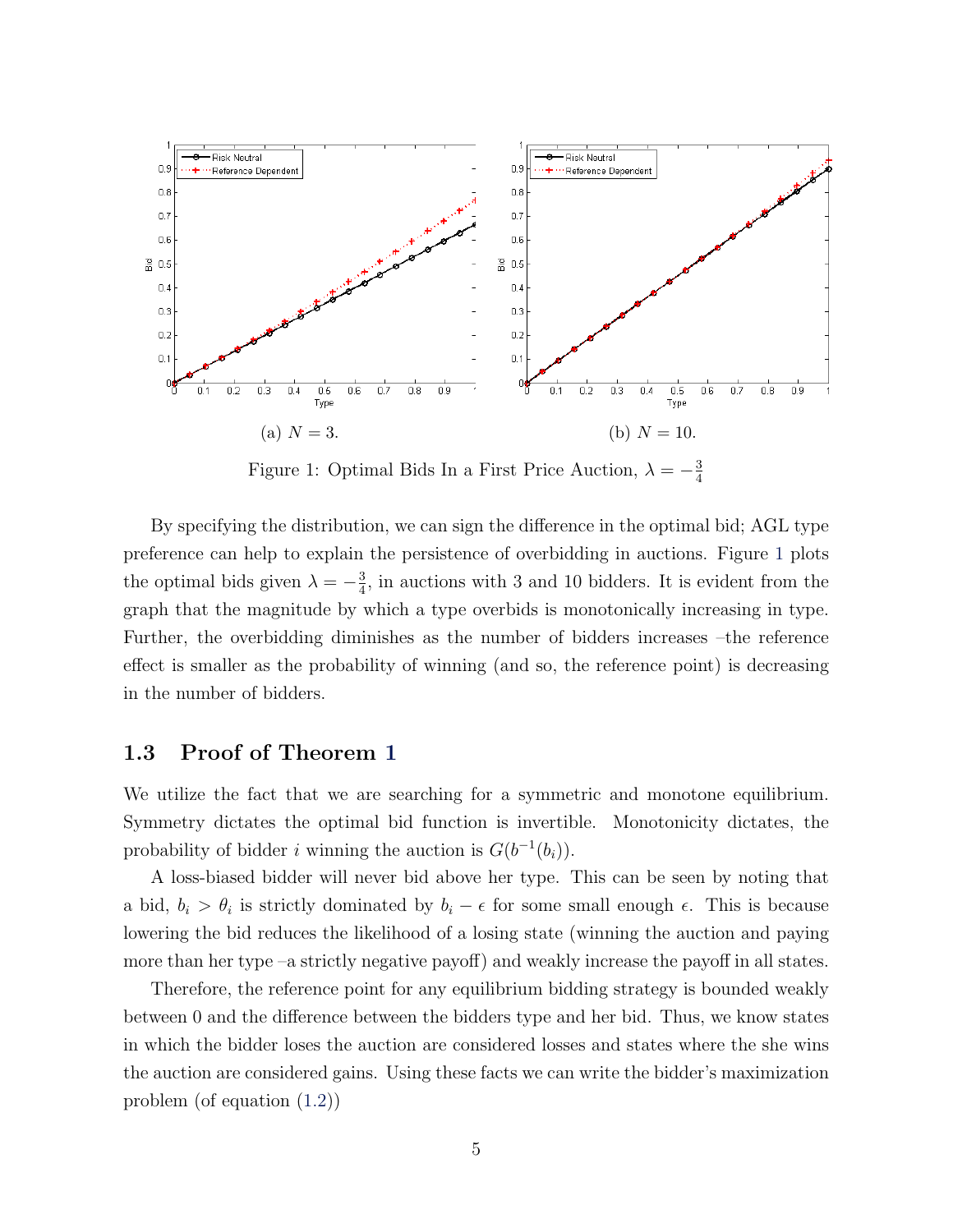<span id="page-4-0"></span>

Figure 1: Optimal Bids In a First Price Auction,  $\lambda = -\frac{3}{4}$ 4

By specifying the distribution, we can sign the difference in the optimal bid; AGL type preference can help to explain the persistence of overbidding in auctions. Figure [1](#page-4-0) plots the optimal bids given  $\lambda = -\frac{3}{4}$  $\frac{3}{4}$ , in auctions with 3 and 10 bidders. It is evident from the graph that the magnitude by which a type overbids is monotonically increasing in type. Further, the overbidding diminishes as the number of bidders increases –the reference effect is smaller as the probability of winning (and so, the reference point) is decreasing in the number of bidders.

### 1.3 Proof of Theorem [1](#page-2-1)

We utilize the fact that we are searching for a symmetric and monotone equilibrium. Symmetry dictates the optimal bid function is invertible. Monotonicity dictates, the probability of bidder *i* winning the auction is  $G(b^{-1}(b_i))$ .

A loss-biased bidder will never bid above her type. This can be seen by noting that a bid,  $b_i > \theta_i$  is strictly dominated by  $b_i - \epsilon$  for some small enough  $\epsilon$ . This is because lowering the bid reduces the likelihood of a losing state (winning the auction and paying more than her type –a strictly negative payoff) and weakly increase the payoff in all states.

Therefore, the reference point for any equilibrium bidding strategy is bounded weakly between 0 and the difference between the bidders type and her bid. Thus, we know states in which the bidder loses the auction are considered losses and states where the she wins the auction are considered gains. Using these facts we can write the bidder's maximization problem (of equation [\(1.2\)](#page-2-0))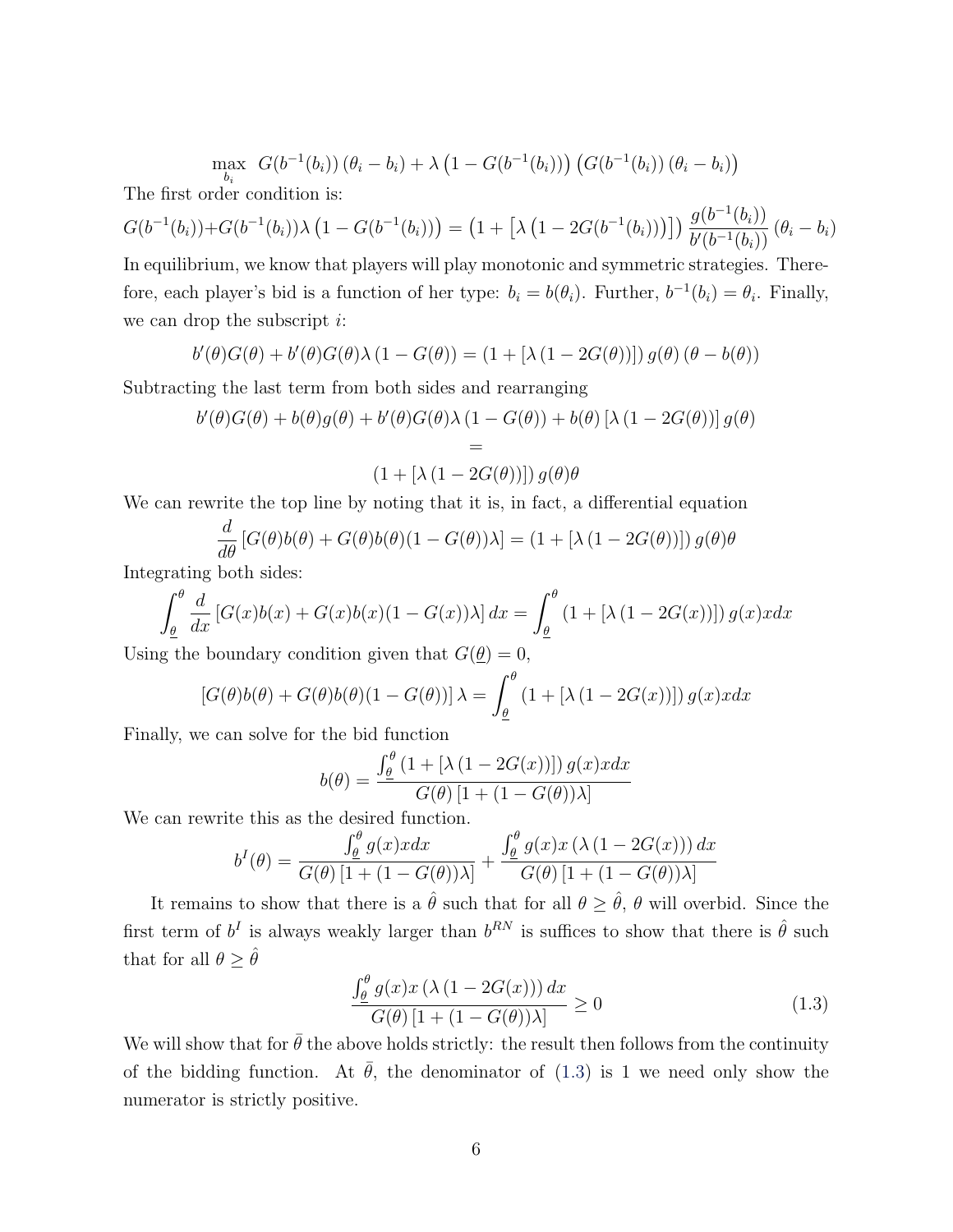$$
\max_{b_i} G(b^{-1}(b_i)) (\theta_i - b_i) + \lambda (1 - G(b^{-1}(b_i))) (G(b^{-1}(b_i)) (\theta_i - b_i))
$$

The first order condition is:

$$
G(b^{-1}(b_i)) + G(b^{-1}(b_i))\lambda \left(1 - G(b^{-1}(b_i))\right) = \left(1 + \left[\lambda \left(1 - 2G(b^{-1}(b_i))\right)\right]\right) \frac{g(b^{-1}(b_i))}{b'(b^{-1}(b_i))} \left(\theta_i - b_i\right)
$$

In equilibrium, we know that players will play monotonic and symmetric strategies. Therefore, each player's bid is a function of her type:  $b_i = b(\theta_i)$ . Further,  $b^{-1}(b_i) = \theta_i$ . Finally, we can drop the subscript  $i$ :

$$
b'(\theta)G(\theta) + b'(\theta)G(\theta)\lambda (1 - G(\theta)) = (1 + [\lambda (1 - 2G(\theta))]) g(\theta) (\theta - b(\theta))
$$

Subtracting the last term from both sides and rearranging

$$
b'(\theta)G(\theta) + b(\theta)g(\theta) + b'(\theta)G(\theta)\lambda (1 - G(\theta)) + b(\theta)[\lambda (1 - 2G(\theta))]g(\theta)
$$
  
=  

$$
(1 + [\lambda (1 - 2G(\theta))]) g(\theta)\theta
$$

We can rewrite the top line by noting that it is, in fact, a differential equation

$$
\frac{d}{d\theta} [G(\theta)b(\theta) + G(\theta)b(\theta)(1 - G(\theta))\lambda] = (1 + [\lambda (1 - 2G(\theta))]) g(\theta)\theta
$$

Integrating both sides:

$$
\int_{\underline{\theta}}^{\theta} \frac{d}{dx} \left[ G(x)b(x) + G(x)b(x)(1 - G(x))\lambda \right] dx = \int_{\underline{\theta}}^{\theta} \left( 1 + \left[ \lambda \left( 1 - 2G(x) \right) \right] \right) g(x) x dx
$$

Using the boundary condition given that  $G(\underline{\theta}) = 0$ ,

$$
[G(\theta)b(\theta) + G(\theta)b(\theta)(1 - G(\theta))] \lambda = \int_{\underline{\theta}}^{\theta} (1 + [\lambda (1 - 2G(x))]) g(x) x dx
$$

Finally, we can solve for the bid function

$$
b(\theta) = \frac{\int_{\theta}^{\theta} \left(1 + \left[\lambda\left(1 - 2G(x)\right)\right]\right) g(x) x dx}{G(\theta) \left[1 + \left(1 - G(\theta)\right)\lambda\right]}
$$

We can rewrite this as the desired function.

$$
b^{I}(\theta) = \frac{\int_{\theta}^{\theta} g(x)xdx}{G(\theta)[1 + (1 - G(\theta))\lambda]} + \frac{\int_{\theta}^{\theta} g(x)x(\lambda(1 - 2G(x))) dx}{G(\theta)[1 + (1 - G(\theta))\lambda]}
$$

It remains to show that there is a  $\hat{\theta}$  such that for all  $\theta \geq \hat{\theta}$ ,  $\theta$  will overbid. Since the first term of  $b^I$  is always weakly larger than  $b^{RN}$  is suffices to show that there is  $\hat{\theta}$  such that for all  $\theta \geq \hat{\theta}$ 

<span id="page-5-0"></span>
$$
\frac{\int_{\theta}^{\theta} g(x)x\left(\lambda\left(1 - 2G(x)\right)\right)dx}{G(\theta)\left[1 + \left(1 - G(\theta)\right)\lambda\right]} \ge 0
$$
\n(1.3)

We will show that for  $\bar{\theta}$  the above holds strictly: the result then follows from the continuity of the bidding function. At  $\bar{\theta}$ , the denominator of [\(1.3\)](#page-5-0) is 1 we need only show the numerator is strictly positive.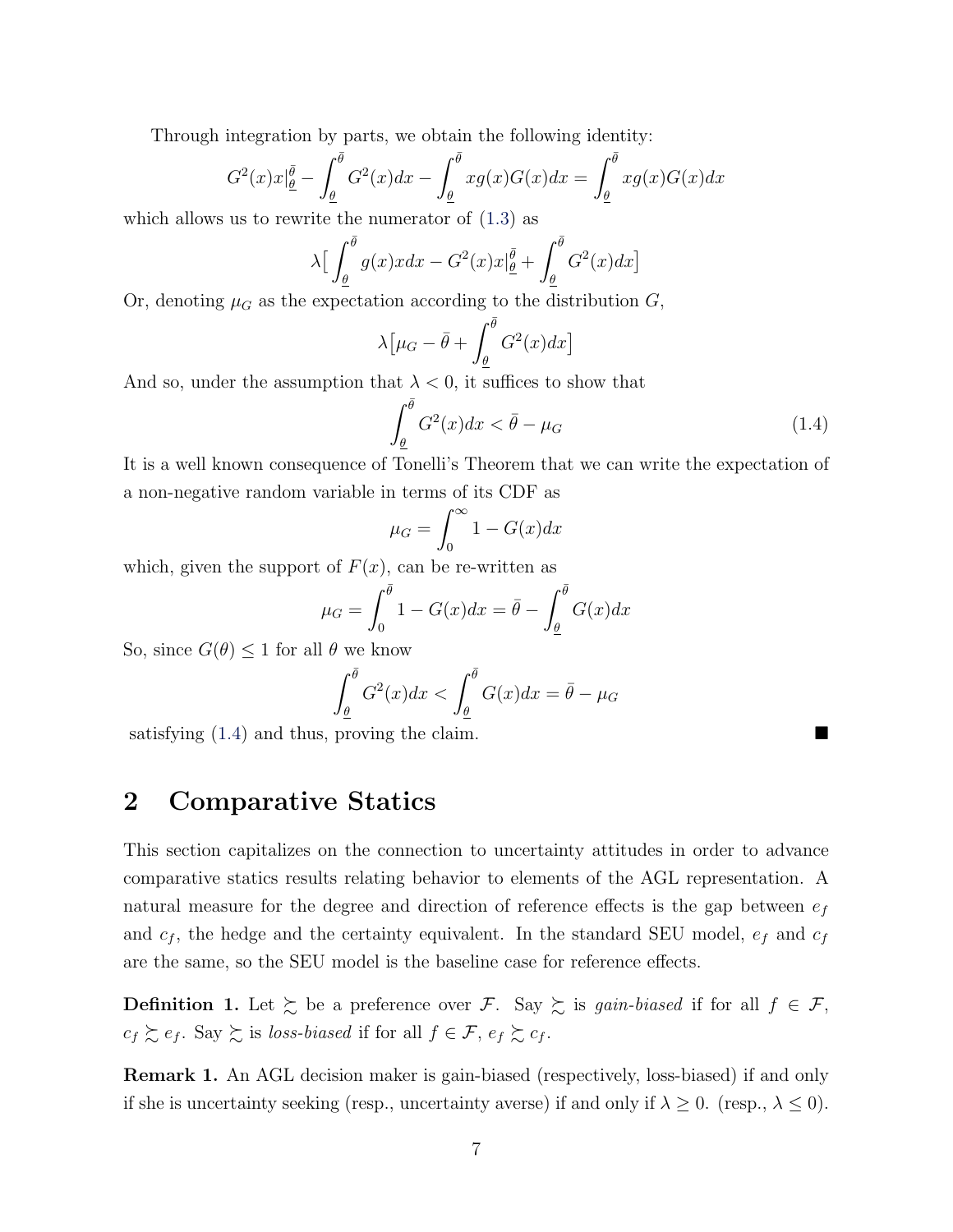Through integration by parts, we obtain the following identity:

$$
G^{2}(x)x|_{\underline{\theta}}^{\overline{\theta}} - \int_{\underline{\theta}}^{\overline{\theta}} G^{2}(x)dx - \int_{\underline{\theta}}^{\overline{\theta}} xg(x)G(x)dx = \int_{\underline{\theta}}^{\overline{\theta}} xg(x)G(x)dx
$$

which allows us to rewrite the numerator of  $(1.3)$  as

$$
\lambda \Big[ \int_{\underline{\theta}}^{\overline{\theta}} g(x) x dx - G^2(x) x \Big]_{\underline{\theta}}^{\overline{\theta}} + \int_{\underline{\theta}}^{\overline{\theta}} G^2(x) dx \Big]
$$

Or, denoting  $\mu_G$  as the expectation according to the distribution  $G$ ,

$$
\lambda \left[ \mu_G - \bar{\theta} + \int_{\underline{\theta}}^{\bar{\theta}} G^2(x) dx \right]
$$

And so, under the assumption that  $\lambda < 0$ , it suffices to show that

<span id="page-6-0"></span>
$$
\int_{\underline{\theta}}^{\overline{\theta}} G^2(x) dx < \overline{\theta} - \mu_G \tag{1.4}
$$

It is a well known consequence of Tonelli's Theorem that we can write the expectation of a non-negative random variable in terms of its CDF as

$$
\mu_G = \int_0^\infty 1 - G(x) dx
$$

which, given the support of  $F(x)$ , can be re-written as

$$
\mu_G = \int_0^{\bar{\theta}} 1 - G(x) dx = \bar{\theta} - \int_{\underline{\theta}}^{\bar{\theta}} G(x) dx
$$

So, since  $G(\theta) \leq 1$  for all  $\theta$  we know

$$
\int_{\underline{\theta}}^{\overline{\theta}} G^2(x) dx < \int_{\underline{\theta}}^{\overline{\theta}} G(x) dx = \overline{\theta} - \mu_G
$$

satisfying  $(1.4)$  and thus, proving the claim.

# 2 Comparative Statics

This section capitalizes on the connection to uncertainty attitudes in order to advance comparative statics results relating behavior to elements of the AGL representation. A natural measure for the degree and direction of reference effects is the gap between  $e_f$ and  $c_f$ , the hedge and the certainty equivalent. In the standard SEU model,  $e_f$  and  $c_f$ are the same, so the SEU model is the baseline case for reference effects.

**Definition 1.** Let  $\succeq$  be a preference over F. Say  $\succeq$  is gain-biased if for all  $f \in \mathcal{F}$ ,  $c_f \succsim e_f$ . Say  $\succsim$  is loss-biased if for all  $f \in \mathcal{F}$ ,  $e_f \succsim c_f$ .

<span id="page-6-1"></span>Remark 1. An AGL decision maker is gain-biased (respectively, loss-biased) if and only if she is uncertainty seeking (resp., uncertainty averse) if and only if  $\lambda \geq 0$ . (resp.,  $\lambda \leq 0$ ).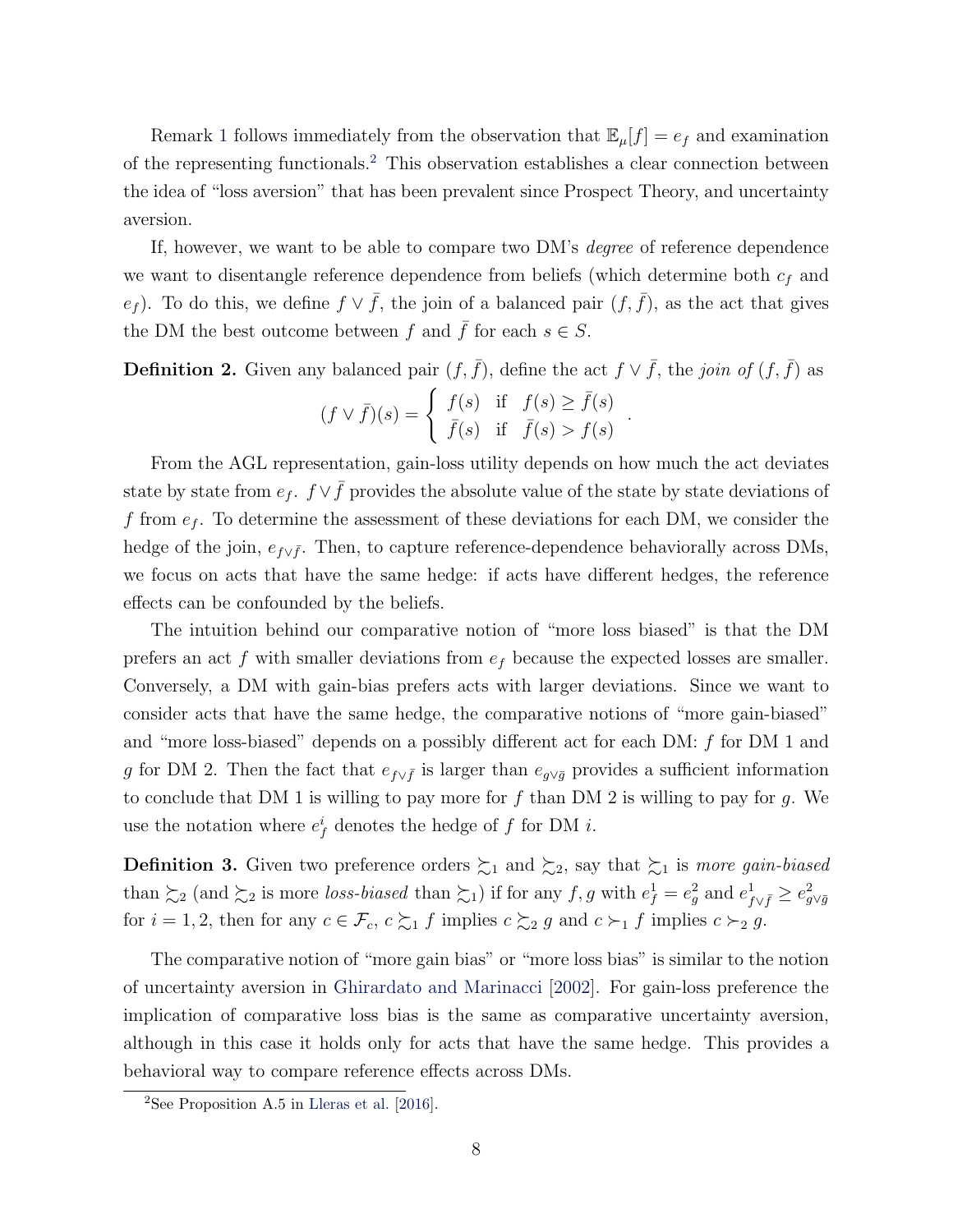Remark [1](#page-6-1) follows immediately from the observation that  $\mathbb{E}_{\mu}[f] = e_f$  and examination of the representing functionals.[2](#page-7-0) This observation establishes a clear connection between the idea of "loss aversion" that has been prevalent since Prospect Theory, and uncertainty aversion.

If, however, we want to be able to compare two DM's degree of reference dependence we want to disentangle reference dependence from beliefs (which determine both  $c_f$  and e<sub>f</sub>). To do this, we define  $f \vee \overline{f}$ , the join of a balanced pair  $(f, \overline{f})$ , as the act that gives the DM the best outcome between f and  $\bar{f}$  for each  $s \in S$ .

**Definition 2.** Given any balanced pair  $(f, \bar{f})$ , define the act  $f \vee \bar{f}$ , the join of  $(f, \bar{f})$  as

$$
(f \vee \overline{f})(s) = \begin{cases} f(s) & \text{if } f(s) \ge \overline{f}(s) \\ \overline{f}(s) & \text{if } \overline{f}(s) > f(s) \end{cases}.
$$

From the AGL representation, gain-loss utility depends on how much the act deviates state by state from  $e_f$ .  $f \vee \overline{f}$  provides the absolute value of the state by state deviations of f from  $e_f$ . To determine the assessment of these deviations for each DM, we consider the hedge of the join,  $e_{f\vee \bar{f}}$ . Then, to capture reference-dependence behaviorally across DMs, we focus on acts that have the same hedge: if acts have different hedges, the reference effects can be confounded by the beliefs.

The intuition behind our comparative notion of "more loss biased" is that the DM prefers an act f with smaller deviations from  $e_f$  because the expected losses are smaller. Conversely, a DM with gain-bias prefers acts with larger deviations. Since we want to consider acts that have the same hedge, the comparative notions of "more gain-biased" and "more loss-biased" depends on a possibly different act for each DM: f for DM 1 and g for DM 2. Then the fact that  $e_{f\vee \bar{f}}$  is larger than  $e_{g\vee \bar{g}}$  provides a sufficient information to conclude that DM 1 is willing to pay more for  $f$  than DM 2 is willing to pay for  $g$ . We use the notation where  $e_f^i$  denotes the hedge of f for DM *i*.

**Definition 3.** Given two preference orders  $\succsim_1$  and  $\succsim_2$ , say that  $\succsim_1$  is more gain-biased than  $\succsim_2$  (and  $\succsim_2$  is more loss-biased than  $\succsim_1$ ) if for any  $f, g$  with  $e_f^1 = e_g^2$  and  $e_{f \vee \bar{f}}^1 \geq e_{g \vee \bar{g}}^2$ for  $i = 1, 2$ , then for any  $c \in \mathcal{F}_c$ ,  $c \succsim_1 f$  implies  $c \succsim_2 g$  and  $c \succ_1 f$  implies  $c \succ_2 g$ .

The comparative notion of "more gain bias" or "more loss bias" is similar to the notion of uncertainty aversion in [Ghirardato and Marinacci](#page-9-3) [\[2002\]](#page-9-3). For gain-loss preference the implication of comparative loss bias is the same as comparative uncertainty aversion, although in this case it holds only for acts that have the same hedge. This provides a behavioral way to compare reference effects across DMs.

<span id="page-7-0"></span><sup>&</sup>lt;sup>2</sup>See Proposition A.5 in [Lleras et al.](#page-10-0)  $[2016]$ .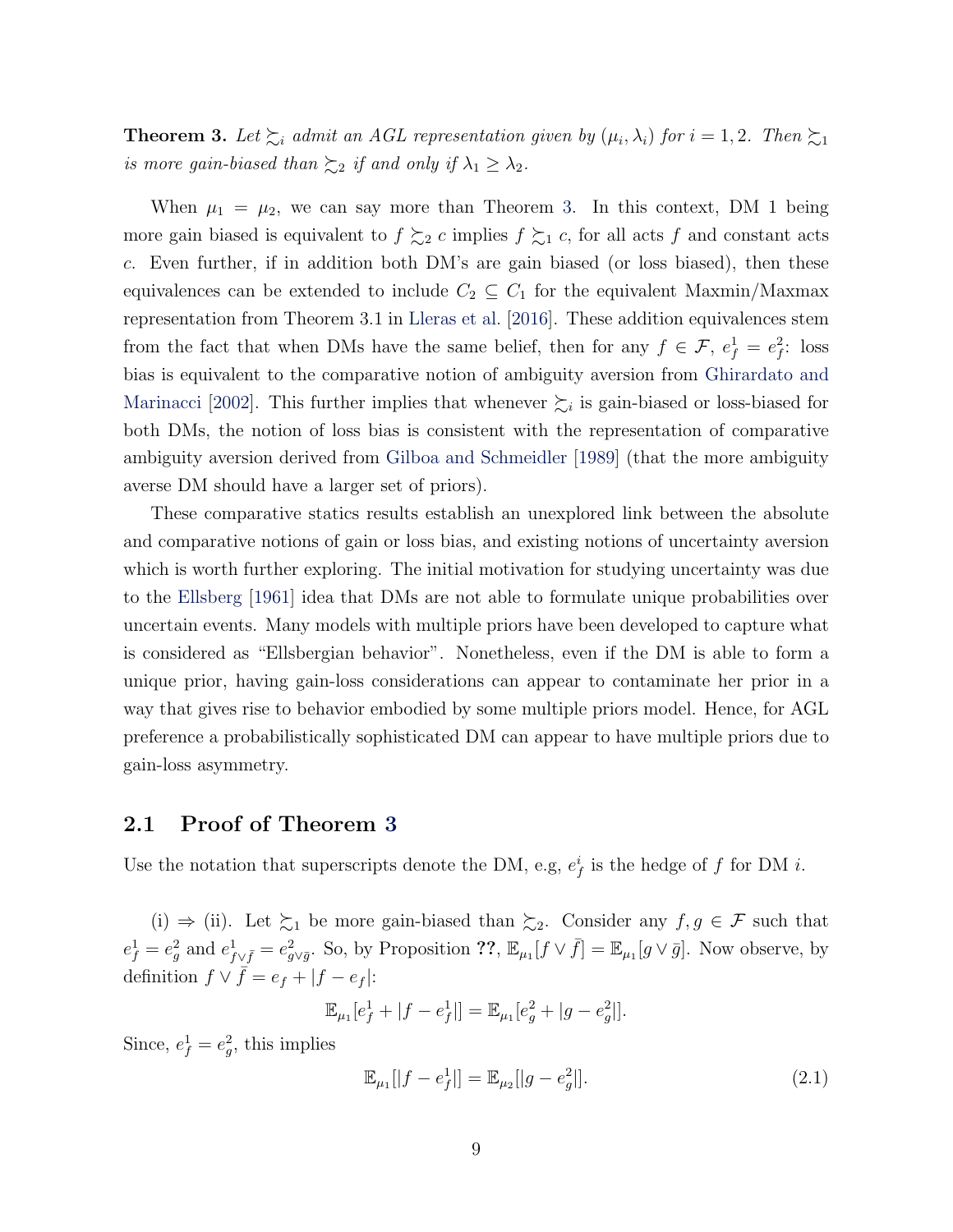<span id="page-8-0"></span>**Theorem 3.** Let  $\succsim_i$  admit an AGL representation given by  $(\mu_i, \lambda_i)$  for  $i = 1, 2$ . Then  $\succsim_1$ is more gain-biased than  $\succsim_2$  if and only if  $\lambda_1 \geq \lambda_2$ .

When  $\mu_1 = \mu_2$ , we can say more than Theorem [3.](#page-8-0) In this context, DM 1 being more gain biased is equivalent to  $f \succsim_2 c$  implies  $f \succsim_1 c$ , for all acts f and constant acts c. Even further, if in addition both DM's are gain biased (or loss biased), then these equivalences can be extended to include  $C_2 \subseteq C_1$  for the equivalent Maxmin/Maxmax representation from Theorem 3.1 in [Lleras et al.](#page-10-0) [\[2016\]](#page-10-0). These addition equivalences stem from the fact that when DMs have the same belief, then for any  $f \in \mathcal{F}$ ,  $e_f^1 = e_f^2$ : loss bias is equivalent to the comparative notion of ambiguity aversion from [Ghirardato and](#page-9-3) [Marinacci](#page-9-3) [\[2002\]](#page-9-3). This further implies that whenever  $\sum_{i}$  is gain-biased or loss-biased for both DMs, the notion of loss bias is consistent with the representation of comparative ambiguity aversion derived from [Gilboa and Schmeidler](#page-9-4) [\[1989\]](#page-9-4) (that the more ambiguity averse DM should have a larger set of priors).

These comparative statics results establish an unexplored link between the absolute and comparative notions of gain or loss bias, and existing notions of uncertainty aversion which is worth further exploring. The initial motivation for studying uncertainty was due to the [Ellsberg](#page-9-5) [\[1961\]](#page-9-5) idea that DMs are not able to formulate unique probabilities over uncertain events. Many models with multiple priors have been developed to capture what is considered as "Ellsbergian behavior". Nonetheless, even if the DM is able to form a unique prior, having gain-loss considerations can appear to contaminate her prior in a way that gives rise to behavior embodied by some multiple priors model. Hence, for AGL preference a probabilistically sophisticated DM can appear to have multiple priors due to gain-loss asymmetry.

### 2.1 Proof of Theorem [3](#page-8-0)

Use the notation that superscripts denote the DM, e.g,  $e_f^i$  is the hedge of f for DM *i*.

(i)  $\Rightarrow$  (ii). Let  $\succsim_1$  be more gain-biased than  $\succsim_2$ . Consider any  $f, g \in \mathcal{F}$  such that  $e_f^1 = e_g^2$  and  $e_{f \vee \bar{f}}^1 = e_{g \vee \bar{g}}^2$ . So, by Proposition ??,  $\mathbb{E}_{\mu_1}[f \vee \bar{f}] = \mathbb{E}_{\mu_1}[g \vee \bar{g}]$ . Now observe, by definition  $f \vee \overline{f} = e_f + |f - e_f|$ :

$$
\mathbb{E}_{\mu_1}[e_f^1 + |f - e_f^1|] = \mathbb{E}_{\mu_1}[e_g^2 + |g - e_g^2|].
$$

Since,  $e_f^1 = e_g^2$ , this implies

<span id="page-8-1"></span>
$$
\mathbb{E}_{\mu_1}[|f - e_f^1|] = \mathbb{E}_{\mu_2}[|g - e_g^2|]. \tag{2.1}
$$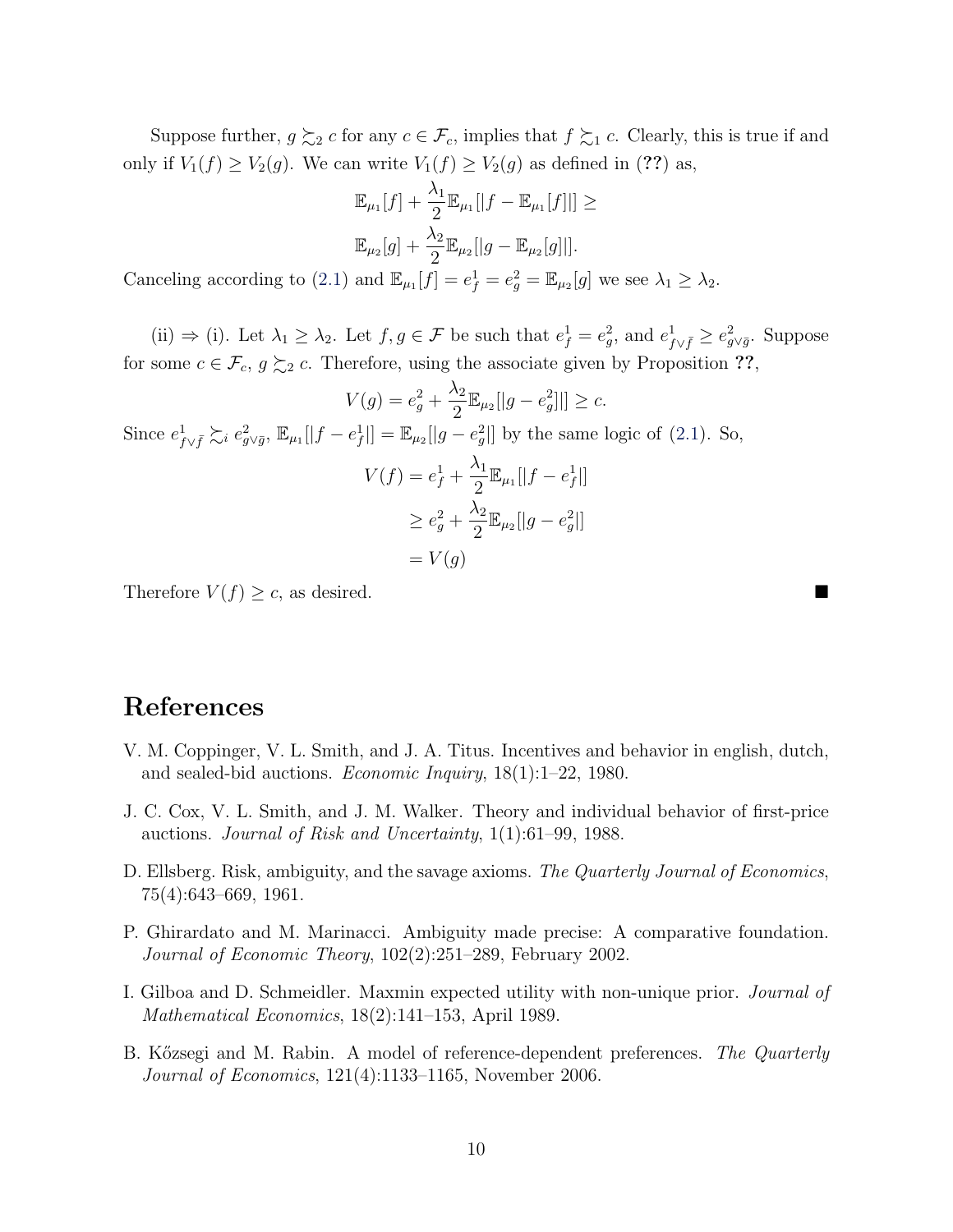Suppose further,  $g \succeq_2 c$  for any  $c \in \mathcal{F}_c$ , implies that  $f \succeq_1 c$ . Clearly, this is true if and only if  $V_1(f) \ge V_2(g)$ . We can write  $V_1(f) \ge V_2(g)$  as defined in (??) as,

$$
\mathbb{E}_{\mu_1}[f] + \frac{\lambda_1}{2} \mathbb{E}_{\mu_1}[|f - \mathbb{E}_{\mu_1}[f]|] \ge
$$
  

$$
\mathbb{E}_{\mu_2}[g] + \frac{\lambda_2}{2} \mathbb{E}_{\mu_2}[|g - \mathbb{E}_{\mu_2}[g]|].
$$

Canceling according to [\(2.1\)](#page-8-1) and  $\mathbb{E}_{\mu_1}[f] = e_f^1 = e_g^2 = \mathbb{E}_{\mu_2}[g]$  we see  $\lambda_1 \geq \lambda_2$ .

(ii)  $\Rightarrow$  (i). Let  $\lambda_1 \geq \lambda_2$ . Let  $f, g \in \mathcal{F}$  be such that  $e_f^1 = e_g^2$ , and  $e_{f \vee \bar{f}}^1 \geq e_{g \vee \bar{g}}^2$ . Suppose for some  $c \in \mathcal{F}_c, g \succsim_2 c$ . Therefore, using the associate given by Proposition ??,

$$
V(g) = e_g^2 + \frac{\lambda_2}{2} \mathbb{E}_{\mu_2}[|g - e_g^2|]] \ge c.
$$
  
Since  $e_{f \vee \bar{f}}^1 \gtrsim_i e_{g \vee \bar{g}}^2$ ,  $\mathbb{E}_{\mu_1}[|f - e_f^1|] = \mathbb{E}_{\mu_2}[|g - e_g^2|]$  by the same logic of (2.1). So,  

$$
V(f) = e_f^1 + \frac{\lambda_1}{2} \mathbb{E}_{\mu_1}[|f - e_f^1|]
$$

$$
\ge e_g^2 + \frac{\lambda_2}{2} \mathbb{E}_{\mu_2}[|g - e_g^2|]
$$

$$
= V(g)
$$

Therefore  $V(f) \geq c$ , as desired.

### References

- <span id="page-9-0"></span>V. M. Coppinger, V. L. Smith, and J. A. Titus. Incentives and behavior in english, dutch, and sealed-bid auctions. Economic Inquiry, 18(1):1–22, 1980.
- <span id="page-9-1"></span>J. C. Cox, V. L. Smith, and J. M. Walker. Theory and individual behavior of first-price auctions. Journal of Risk and Uncertainty, 1(1):61–99, 1988.
- <span id="page-9-5"></span>D. Ellsberg. Risk, ambiguity, and the savage axioms. The Quarterly Journal of Economics, 75(4):643–669, 1961.
- <span id="page-9-3"></span>P. Ghirardato and M. Marinacci. Ambiguity made precise: A comparative foundation. Journal of Economic Theory, 102(2):251–289, February 2002.
- <span id="page-9-4"></span>I. Gilboa and D. Schmeidler. Maxmin expected utility with non-unique prior. Journal of Mathematical Economics, 18(2):141–153, April 1989.
- <span id="page-9-2"></span>B. Kőzsegi and M. Rabin. A model of reference-dependent preferences. The Quarterly Journal of Economics, 121(4):1133–1165, November 2006.